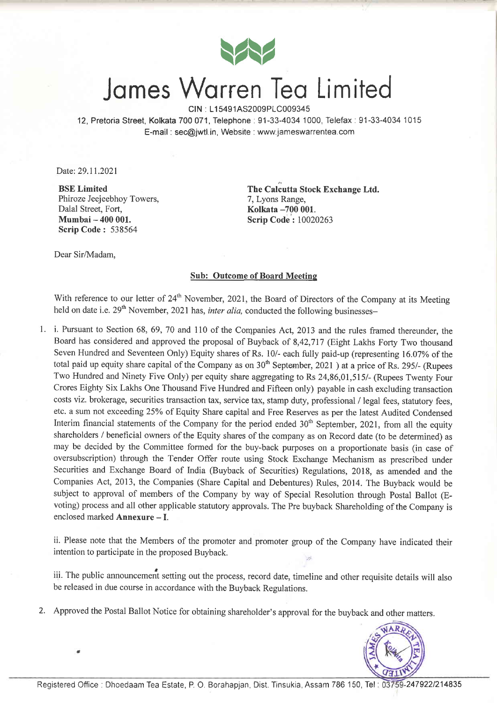

## Jomes Worren Ieo Limited

CIN : L15491AS2009PLC009345

12, Pretoria Street, Kolkata 700071, Telephone:91-33-4034 1000, Telefax:91-33-4034 1015 E-mail : sec@jwtl.in, Website : www.jameswarrentea.com

Date: 29.11.2021

BSE Limited Phiroze Jeejeebhoy Towers, Dalal Street, Fort, Mumbai - 400 001. Scrip Code : <sup>538564</sup>

The Calcutta Stock Exchange Ltd. 7, Lyons Range, Kolkata -700 001. Scrip Code: 10020263

Dear Sir/Madam,

#### Sub: Outcome of Board Meeting

With reference to our letter of 24<sup>th</sup> November, 2021, the Board of Directors of the Company at its Meeting held on date i.e.  $29<sup>th</sup>$  November, 2021 has, *inter alia*, conducted the following businesses-

1. i. Pursuant to Section 68, 69, 70 and 110 of the Companies Act, 2013 and the rules framed thereunder, the Board has considered and approved the proposal of Buyback of 8,42,717 (Eight Lakhs Forty Two thousand Seven Hundred and Seventeen Only) Equity shares of Rs. 10/- each fully paid-up (representing 16.07% of the total paid up equity share capital of the Company as on  $30<sup>th</sup>$  September, 2021) at a price of Rs. 295/- (Rupees Two Hundred and Ninety Five Only) per equity share aggregating to Rs 24,86,01,515/- (Rupees Twenty Four Crores Eighty Six Lakhs One Thousand Five Hundred and Fifteen only) payable in cash excluding transaction costs viz. brokerage, securities transaction tax, service tax, stamp duty, professional / legal fees, statutory fees, etc. a sum not exceeding 25% of Equity Share capital and Free Reserves as per the latest Audited Condensed Interim financial statements of the Company for the period ended 30<sup>th</sup> September, 2021, from all the equity shareholders / beneficial owners of the Equity shares of the company as on Record date (to be determined) as may be decided by the Committee formed for the buy-back purposes on a proportionate basis (in case of oversubscription) through the Tender Offer route using Stock Exchange Mechanism as prescribed under Securities and Exchange Board of India (Buyback of Securities) Regulations, 2018, as amended and the Companies Act, 2013, the Companies (Share Capital and Debentures) Rules, 2014. The Buyback would be subject to approval of members of the Company by way of Special Resolution through Postal Ballot (Evoting) process and all other applicable statutory approvals. The Pre buyback Shareholding of the Company is enclosed marked **Annexure** - I.

ii. Please note that the Members of the promoter and promoter group of the Company have indicated their intention to participate in the proposed Buyback.

iii. The public announcemerit setting out the process, record date, timeline and other requisite details will also be released in due course in accordance with the Buyback Regulations.

2. Approved the Postal Ballot Notice for obtaining shareholder's approval for the buyback and other matters.

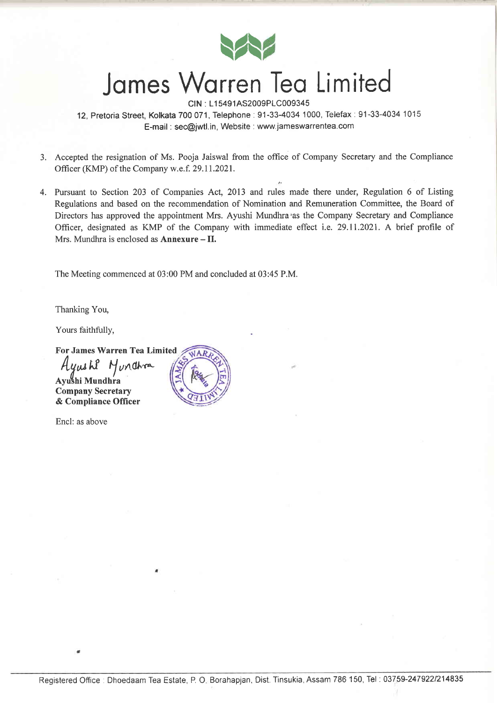

## James Warren Tea Limited

CIN: L15491AS2009PLC009345 12, Pretoria Street, Kolkata 700 071, Telephone : 91-33-4034 1000, Telefax : 91-33-4034 1015 E-mail : sec@jwtl.in, Website : www.jameswarrentea.com

- 3. Accepted the resignation of Ms. Pooja Jaiswal from the office of Company Secretary and the Compliance Officer (KMP) of the Company w.e.f. 29.11.2021.
- 4. Pursuant to Section 203 of Companies Act, 2013 and rules made there under, Regulation 6 of Listing Regulations and based on the recommendation of Nomination and Remuneration Committee, the Board of Directors has approved the appointment Mrs. Ayushi Mundhra'as the Company Secretary and Compliance Officer, designated as KMP of the Company with immediate effect i.e. 29.11.2021. A brief profile of Mrs. Mundhra is enclosed as  $An nexture - II$ .

The Meeting commenced at 03:00 PM and concluded at 03:45 P.M.

Thanking You,

Yours faithfully,

For James Warren Tea Limited Hywehi Hundhra

Avushi Mundhra **Company Secretary** & Compliance Officer

Encl: as above

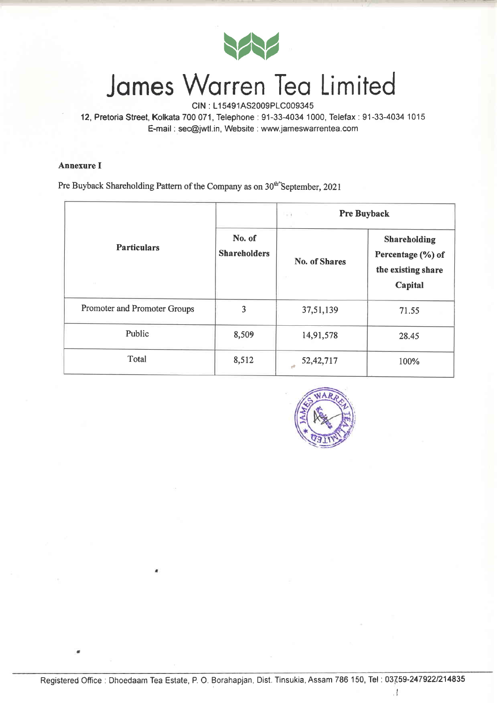

# James Warren Tea Limited

12, Pretoria Street, Kolkata 700 071, Telephone : 91-33-4034 1000, Telefax : 91-33-4034 1015 E-mail : sec@jwtl.in, Website : www.jameswarrentea.com

### Annexure I

Pre Buyback Shareholding Pattern of the Company as on  $30<sup>th</sup>$ 'September, 2021

| <b>Particulars</b><br>$\sim$ |                               | <b>Pre Buyback</b><br>$-1$ |                                                                    |
|------------------------------|-------------------------------|----------------------------|--------------------------------------------------------------------|
|                              | No. of<br><b>Shareholders</b> | <b>No. of Shares</b><br>n. | Shareholding<br>Percentage (%) of<br>the existing share<br>Capital |
| Promoter and Promoter Groups | 3                             | 37,51,139                  | 71.55                                                              |
| Public                       | 8,509                         | 14,91,578                  | 28.45                                                              |
| Total                        | 8,512                         | 52, 42, 717                | 100%                                                               |



 $\frac{1}{4}$